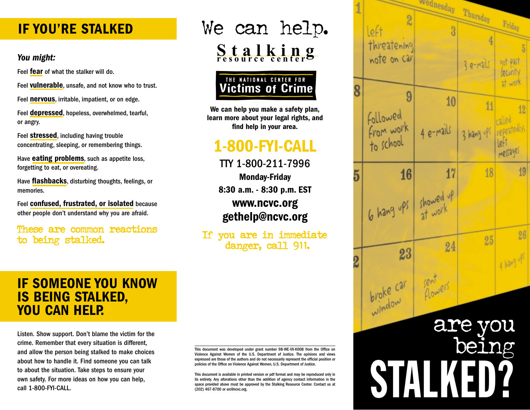# **IF YOU'RE STALKED**

#### *You might:*

Feel **fear** of what the stalker will do.

Feel **vulnerable**, unsafe, and not know who to trust.

Feel **nervous**, irritable, impatient, or on edge.

Feel **depressed**, hopeless, overwhelmed, tearful, or angry.

Feel **stressed**, including having trouble concentrating, sleeping, or remembering things.

Have **eating problems**, such as appetite loss, forgetting to eat, or overeating.

Have **flashbacks**, disturbing thoughts, feelings, or memories.

Feel **confused, frustrated, or isolated** because other people don't understand why you are afraid.

to being stalked.

# We can help. **Stalking resource center**



**We can help you make a safety plan, learn more about your legal rights, and find help in your area.**

# **1-800-FYI-CALL** to school

 $TTY$  1-800-211-7996  $-$ **Monday-Friday 8:30 a.m. - 8:30 p.m. EST** www.ncvc.org **gethelp@ncvc.org**

danger, call 911.

### $Y$  are not to blame for the form of top  $\mathcal{A}$ **IF SOMEONE YOU KNOW YOU CAN HELP.** Stalking is a crime. **IS BEING STALKED,**

to about the situation. Take steps to ensure your own safety. For more ideas on how you can help,<br>eall 1.800 EVLCAU Listen. Show support. Don't blame the victim for the crime. Remember that every situation is different, and allow the person being stalked to make choices about how to handle it. Find someone you can talk call 1-800-FYI-CALL.

This document was developed under grant number 98-WE-VX-K008 from the Office on Violence Against Women of the U.S. Department of Justice. The opinions and views expressed are those of the authors and do not necessarily represent the official position or policies of the Office on Violence Against Women, U.S. Department of Justice.

This document is available in printed version or pdf format and may be reproduced only in ritis entirety. Any alterations other than the addition of agency contact information in the solution of agency contact information in the space provided above must be approved by the Stalking Resource Center. Contact us at<br>(202) 467-8700 or src@ncvc.org. (202) 467-8700 or src@ncvc.org.